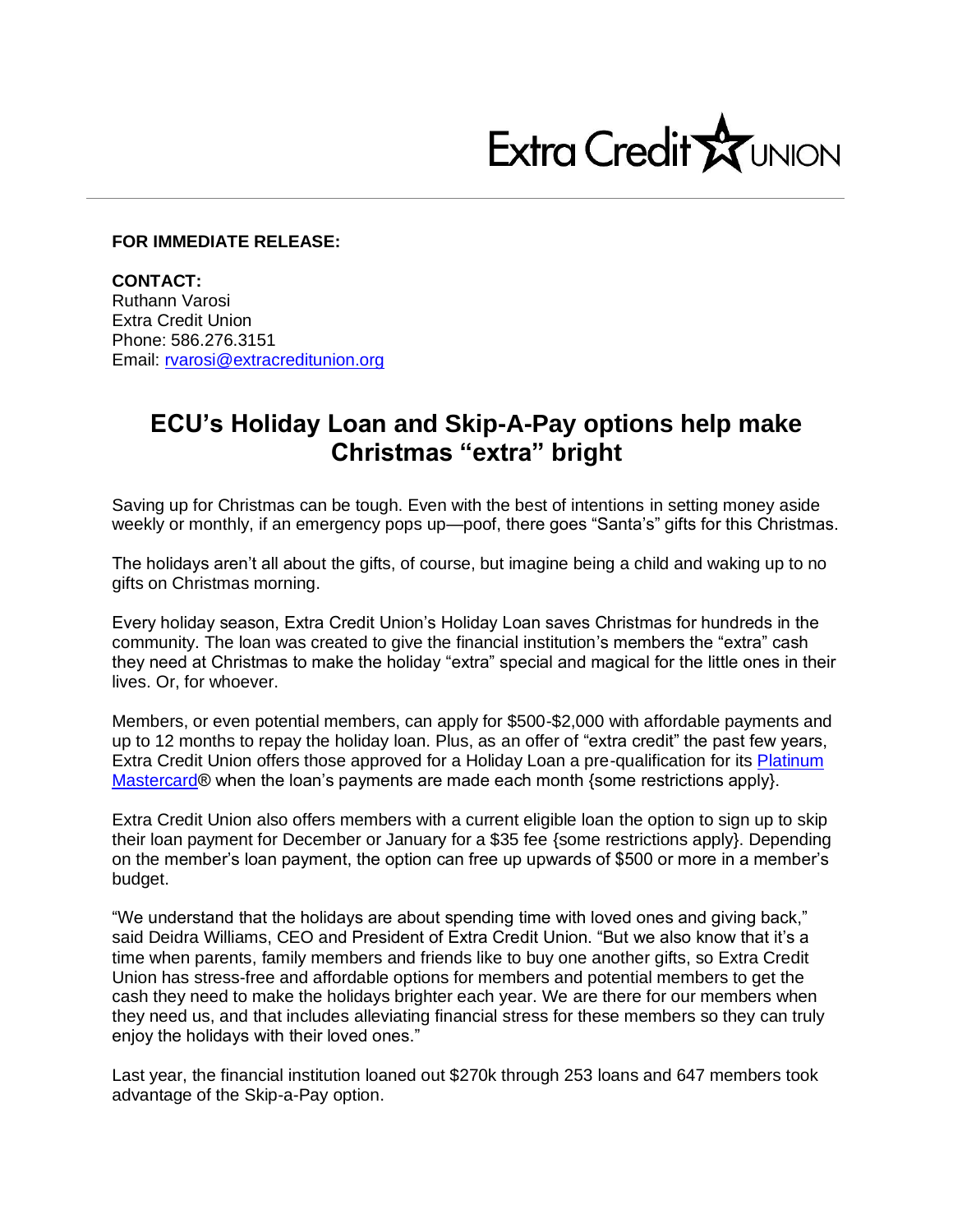

## **FOR IMMEDIATE RELEASE:**

**CONTACT:** Ruthann Varosi Extra Credit Union Phone: 586.276.3151 Email: [rvarosi@extracreditunion.org](mailto:rvarosi@extracreditunion.org)

## **ECU's Holiday Loan and Skip-A-Pay options help make Christmas "extra" bright**

Saving up for Christmas can be tough. Even with the best of intentions in setting money aside weekly or monthly, if an emergency pops up—poof, there goes "Santa's" gifts for this Christmas.

The holidays aren't all about the gifts, of course, but imagine being a child and waking up to no gifts on Christmas morning.

Every holiday season, Extra Credit Union's Holiday Loan saves Christmas for hundreds in the community. The loan was created to give the financial institution's members the "extra" cash they need at Christmas to make the holiday "extra" special and magical for the little ones in their lives. Or, for whoever.

Members, or even potential members, can apply for \$500-\$2,000 with affordable payments and up to 12 months to repay the holiday loan. Plus, as an offer of "extra credit" the past few years, Extra Credit Union offers those approved for a Holiday Loan a pre-qualification for its Platinum [Mastercard®](https://www.extracreditunion.org/loans/extra-credit-union-credit-card) when the loan's payments are made each month {some restrictions apply}.

Extra Credit Union also offers members with a current eligible loan the option to sign up to skip their loan payment for December or January for a \$35 fee {some restrictions apply}. Depending on the member's loan payment, the option can free up upwards of \$500 or more in a member's budget.

"We understand that the holidays are about spending time with loved ones and giving back," said Deidra Williams, CEO and President of Extra Credit Union. "But we also know that it's a time when parents, family members and friends like to buy one another gifts, so Extra Credit Union has stress-free and affordable options for members and potential members to get the cash they need to make the holidays brighter each year. We are there for our members when they need us, and that includes alleviating financial stress for these members so they can truly enjoy the holidays with their loved ones."

Last year, the financial institution loaned out \$270k through 253 loans and 647 members took advantage of the Skip-a-Pay option.